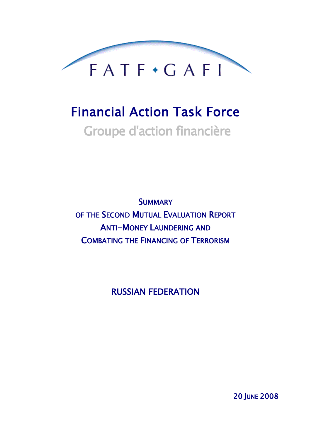

# Financial Action Task Force Groupe d'action financière

**SUMMARY** OF THE SECOND MUTUAL EVALUATION REPORT ANTI-MONEY LAUNDERING AND COMBATING THE FINANCING OF TERRORISM

RUSSIAN FEDERATION

20 JUNE 2008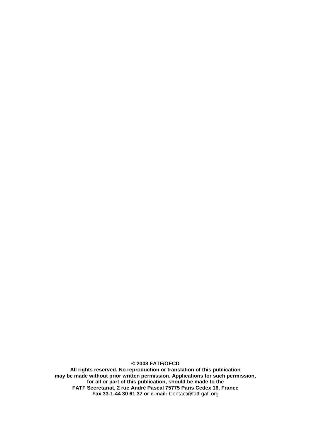**© 2008 FATF/OECD All rights reserved. No reproduction or translation of this publication may be made without prior written permission. Applications for such permission, for all or part of this publication, should be made to the FATF Secretariat, 2 rue André Pascal 75775 Paris Cedex 16, France Fax 33-1-44 30 61 37 or e-mail:** Contact@fatf-gafi.org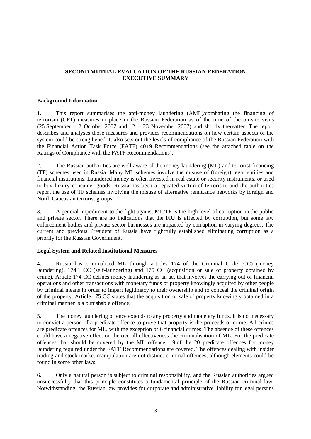## **SECOND MUTUAL EVALUATION OF THE RUSSIAN FEDERATION EXECUTIVE SUMMARY**

## **Background Information**

1. This report summarises the anti-money laundering (AML)/combating the financing of terrorism (CFT) measures in place in the Russian Federation as of the time of the on-site visits (25 September – 2 October 2007 and  $12 - 23$  November 2007) and shortly thereafter. The report describes and analyses those measures and provides recommendations on how certain aspects of the system could be strengthened. It also sets out the levels of compliance of the Russian Federation with the Financial Action Task Force (FATF) 40+9 Recommendations (see the attached table on the Ratings of Compliance with the FATF Recommendations).

2. The Russian authorities are well aware of the money laundering (ML) and terrorist financing (TF) schemes used in Russia. Many ML schemes involve the misuse of (foreign) legal entities and financial institutions. Laundered money is often invested in real estate or security instruments, or used to buy luxury consumer goods. Russia has been a repeated victim of terrorism, and the authorities report the use of TF schemes involving the misuse of alternative remittance networks by foreign and North Caucasian terrorist groups.

3. A general impediment to the fight against ML/TF is the high level of corruption in the public and private sector. There are no indications that the FIU is affected by corruption, but some law enforcement bodies and private sector businesses are impacted by corruption in varying degrees. The current and previous President of Russia have rightfully established eliminating corruption as a priority for the Russian Government.

## **Legal System and Related Institutional Measures**

4. Russia has criminalised ML through articles 174 of the Criminal Code (CC) (money laundering), 174.1 CC (self-laundering) and 175 CC (acquisition or sale of property obtained by crime). Article 174 CC defines money laundering as an act that involves the carrying out of financial operations and other transactions with monetary funds or property knowingly acquired by other people by criminal means in order to impart legitimacy to their ownership and to conceal the criminal origin of the property. Article 175 CC states that the acquisition or sale of property knowingly obtained in a criminal manner is a punishable offence.

5. The money laundering offence extends to any property and monetary funds. It is not necessary to convict a person of a predicate offence to prove that property is the proceeds of crime. All crimes are predicate offences for ML, with the exception of 6 financial crimes. The absence of these offences could have a negative effect on the overall effectiveness the criminalisation of ML. For the predicate offences that should be covered by the ML offence, 19 of the 20 predicate offences for money laundering required under the FATF Recommendations are covered. The offences dealing with insider trading and stock market manipulation are not distinct criminal offences, although elements could be found in some other laws.

6. Only a natural person is subject to criminal responsibility, and the Russian authorities argued unsuccessfully that this principle constitutes a fundamental principle of the Russian criminal law. Notwithstanding, the Russian law provides for corporate and administrative liability for legal persons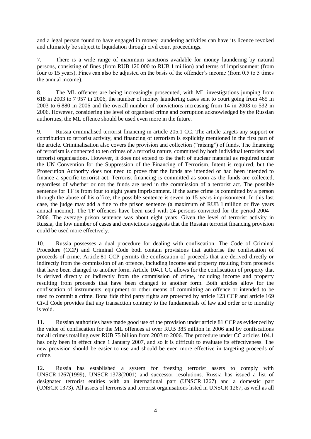and a legal person found to have engaged in money laundering activities can have its licence revoked and ultimately be subject to liquidation through civil court proceedings.

7. There is a wide range of maximum sanctions available for money laundering by natural persons, consisting of fines (from RUB 120 000 to RUB 1 million) and terms of imprisonment (from four to 15 years). Fines can also be adjusted on the basis of the offender's income (from 0.5 to 5 times the annual income).

8. The ML offences are being increasingly prosecuted, with ML investigations jumping from 618 in 2003 to 7 957 in 2006, the number of money laundering cases sent to court going from 465 in 2003 to 6 880 in 2006 and the overall number of convictions increasing from 14 in 2003 to 532 in 2006. However, considering the level of organised crime and corruption acknowledged by the Russian authorities, the ML offence should be used even more in the future.

9. Russia criminalised terrorist financing in article 205.1 CC. The article targets any support or contribution to terrorist activity, and financing of terrorism is explicitly mentioned in the first part of the article. Criminalisation also covers the provision and collection ("raising") of funds. The financing of terrorism is connected to ten crimes of a terrorist nature, committed by both individual terrorists and terrorist organisations. However, it does not extend to the theft of nuclear material as required under the UN Convention for the Suppression of the Financing of Terrorism. Intent is required, but the Prosecution Authority does not need to prove that the funds are intended or had been intended to finance a specific terrorist act. Terrorist financing is committed as soon as the funds are collected, regardless of whether or not the funds are used in the commission of a terrorist act. The possible sentence for TF is from four to eight years imprisonment. If the same crime is committed by a person through the abuse of his office, the possible sentence is seven to 15 years imprisonment. In this last case, the judge may add a fine to the prison sentence (a maximum of RUB 1 million or five years annual income). The TF offences have been used with 24 persons convicted for the period 2004 – 2006. The average prison sentence was about eight years. Given the level of terrorist activity in Russia, the low number of cases and convictions suggests that the Russian terrorist financing provision could be used more effectively.

10. Russia possesses a dual procedure for dealing with confiscation. The Code of Criminal Procedure (CCP) and Criminal Code both contain provisions that authorise the confiscation of proceeds of crime. Article 81 CCP permits the confiscation of proceeds that are derived directly or indirectly from the commission of an offence, including income and property resulting from proceeds that have been changed to another form. Article 104.1 CC allows for the confiscation of property that is derived directly or indirectly from the commission of crime, including income and property resulting from proceeds that have been changed to another form. Both articles allow for the confiscation of instruments, equipment or other means of committing an offence or intended to be used to commit a crime. Bona fide third party rights are protected by article 123 CCP and article 169 Civil Code provides that any transaction contrary to the fundamentals of law and order or to morality is void.

11. Russian authorities have made good use of the provision under article 81 CCP as evidenced by the value of confiscation for the ML offences at over RUB 385 million in 2006 and by confiscations for all crimes totalling over RUB 75 billion from 2003 to 2006. The procedure under CC articles 104.1 has only been in effect since 1 January 2007, and so it is difficult to evaluate its effectiveness. The new provision should be easier to use and should be even more effective in targeting proceeds of crime.

12. Russia has established a system for freezing terrorist assets to comply with UNSCR 1267(1999), UNSCR 1373(2001) and successor resolutions. Russia has issued a list of designated terrorist entities with an international part (UNSCR 1267) and a domestic part (UNSCR 1373). All assets of terrorists and terrorist organisations listed in UNSCR 1267, as well as all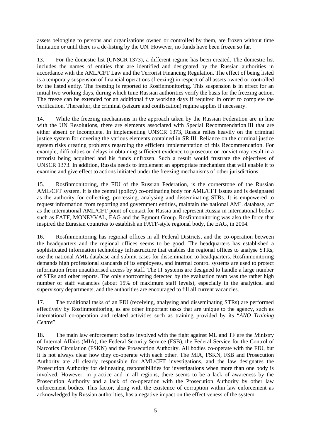assets belonging to persons and organisations owned or controlled by them, are frozen without time limitation or until there is a de-listing by the UN. However, no funds have been frozen so far.

13. For the domestic list (UNSCR 1373), a different regime has been created. The domestic list includes the names of entities that are identified and designated by the Russian authorities in accordance with the AML/CFT Law and the Terrorist Financing Regulation. The effect of being listed is a temporary suspension of financial operations (freezing) in respect of all assets owned or controlled by the listed entity. The freezing is reported to Rosfinmonitoring. This suspension is in effect for an initial two working days, during which time Russian authorities verify the basis for the freezing action. The freeze can be extended for an additional five working days if required in order to complete the verification. Thereafter, the criminal (seizure and confiscation) regime applies if necessary.

14. While the freezing mechanisms in the approach taken by the Russian Federation are in line with the UN Resolutions, there are elements associated with Special Recommendation III that are either absent or incomplete. In implementing UNSCR 1373, Russia relies heavily on the criminal justice system for covering the various elements contained in SR.III. Reliance on the criminal justice system risks creating problems regarding the efficient implementation of this Recommendation. For example, difficulties or delays in obtaining sufficient evidence to prosecute or convict may result in a terrorist being acquitted and his funds unfrozen. Such a result would frustrate the objectives of UNSCR 1373. In addition, Russia needs to implement an appropriate mechanism that will enable it to examine and give effect to actions initiated under the freezing mechanisms of other jurisdictions.

15. Rosfinmonitoring, the FIU of the Russian Federation, is the cornerstone of the Russian AML/CFT system. It is the central (policy) co-ordinating body for AML/CFT issues and is designated as the authority for collecting, processing, analysing and disseminating STRs. It is empowered to request information from reporting and government entities, maintain the national AML database, act as the international AML/CFT point of contact for Russia and represent Russia in international bodies such as FATF, MONEYVAL, EAG and the Egmont Group. Rosfinmonitoring was also the force that inspired the Eurasian countries to establish an FATF-style regional body, the EAG, in 2004.

16. Rosfinmonitoring has regional offices in all Federal Districts, and the co-operation between the headquarters and the regional offices seems to be good. The headquarters has established a sophisticated information technology infrastructure that enables the regional offices to analyse STRs, use the national AML database and submit cases for dissemination to headquarters. Rosfinmonitoring demands high professional standards of its employees, and internal control systems are used to protect information from unauthorised access by staff. The IT systems are designed to handle a large number of STRs and other reports. The only shortcoming detected by the evaluation team was the rather high number of staff vacancies (about 15% of maximum staff levels), especially in the analytical and supervisory departments, and the authorities are encouraged to fill all current vacancies.

17. The traditional tasks of an FIU (receiving, analysing and disseminating STRs) are performed effectively by Rosfinmonitoring, as are other important tasks that are unique to the agency, such as international co-operation and related activities such as training provided by its "*ANO Training Centre*".

18. The main law enforcement bodies involved with the fight against ML and TF are the Ministry of Internal Affairs (MIA), the Federal Security Service (FSB), the Federal Service for the Control of Narcotics Circulation (FSKN) and the Prosecution Authority. All bodies co-operate with the FIU, but it is not always clear how they co-operate with each other. The MIA, FSKN, FSB and Prosecution Authority are all clearly responsible for AML/CFT investigations, and the law designates the Prosecution Authority for delineating responsibilities for investigations when more than one body is involved. However, in practice and in all regions, there seems to be a lack of awareness by the Prosecution Authority and a lack of co-operation with the Prosecution Authority by other law enforcement bodies. This factor, along with the existence of corruption within law enforcement as acknowledged by Russian authorities, has a negative impact on the effectiveness of the system.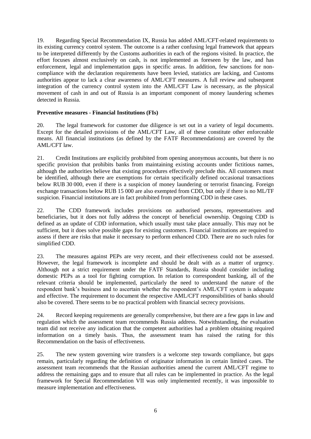19. Regarding Special Recommendation IX, Russia has added AML/CFT-related requirements to its existing currency control system. The outcome is a rather confusing legal framework that appears to be interpreted differently by the Customs authorities in each of the regions visited. In practice, the effort focuses almost exclusively on cash, is not implemented as foreseen by the law, and has enforcement, legal and implementation gaps in specific areas. In addition, few sanctions for noncompliance with the declaration requirements have been levied, statistics are lacking, and Customs authorities appear to lack a clear awareness of AML/CFT measures. A full review and subsequent integration of the currency control system into the AML/CFT Law is necessary, as the physical movement of cash in and out of Russia is an important component of money laundering schemes detected in Russia.

## **Preventive measures - Financial Institutions (FIs)**

20. The legal framework for customer due diligence is set out in a variety of legal documents. Except for the detailed provisions of the AML/CFT Law, all of these constitute other enforceable means. All financial institutions (as defined by the FATF Recommendations) are covered by the AML/CFT law.

21. Credit Institutions are explicitly prohibited from opening anonymous accounts, but there is no specific provision that prohibits banks from maintaining existing accounts under fictitious names, although the authorities believe that existing procedures effectively preclude this. All customers must be identified, although there are exemptions for certain specifically defined occasional transactions below RUB 30 000, even if there is a suspicion of money laundering or terrorist financing. Foreign exchange transactions below RUB 15 000 are also exempted from CDD, but only if there is no ML/TF suspicion. Financial institutions are in fact prohibited from performing CDD in these cases.

22. The CDD framework includes provisions on authorised persons, representatives and beneficiaries, but it does not fully address the concept of beneficial ownership. Ongoing CDD is defined as an update of CDD information, which usually must take place annually. This may not be sufficient, but it does solve possible gaps for existing customers. Financial institutions are required to assess if there are risks that make it necessary to perform enhanced CDD. There are no such rules for simplified CDD.

23. The measures against PEPs are very recent, and their effectiveness could not be assessed. However, the legal framework is incomplete and should be dealt with as a matter of urgency. Although not a strict requirement under the FATF Standards, Russia should consider including domestic PEPs as a tool for fighting corruption. In relation to correspondent banking, all of the relevant criteria should be implemented, particularly the need to understand the nature of the respondent bank's business and to ascertain whether the respondent's AML/CFT system is adequate and effective. The requirement to document the respective AML/CFT responsibilities of banks should also be covered. There seems to be no practical problem with financial secrecy provisions.

24. Record keeping requirements are generally comprehensive, but there are a few gaps in law and regulation which the assessment team recommends Russia address. Notwithstanding, the evaluation team did not receive any indication that the competent authorities had a problem obtaining required information on a timely basis. Thus, the assessment team has raised the rating for this Recommendation on the basis of effectiveness.

25. The new system governing wire transfers is a welcome step towards compliance, but gaps remain, particularly regarding the definition of originator information in certain limited cases. The assessment team recommends that the Russian authorities amend the current AML/CFT regime to address the remaining gaps and to ensure that all rules can be implemented in practice. As the legal framework for Special Recommendation VII was only implemented recently, it was impossible to measure implementation and effectiveness.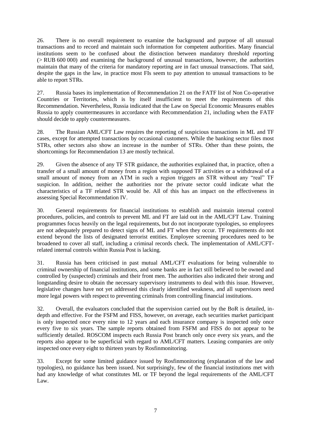26. There is no overall requirement to examine the background and purpose of all unusual transactions and to record and maintain such information for competent authorities. Many financial institutions seem to be confused about the distinction between mandatory threshold reporting (> RUB 600 000) and examining the background of unusual transactions, however, the authorities maintain that many of the criteria for mandatory reporting are in fact unusual transactions. That said, despite the gaps in the law, in practice most FIs seem to pay attention to unusual transactions to be able to report STRs.

27. Russia bases its implementation of Recommendation 21 on the FATF list of Non Co-operative Countries or Territories, which is by itself insufficient to meet the requirements of this Recommendation. Nevertheless, Russia indicated that the Law on Special Economic Measures enables Russia to apply countermeasures in accordance with Recommendation 21, including when the FATF should decide to apply countermeasures.

28. The Russian AML/CFT Law requires the reporting of suspicious transactions in ML and TF cases, except for attempted transactions by occasional customers. While the banking sector files most STRs, other sectors also show an increase in the number of STRs. Other than these points, the shortcomings for Recommendation 13 are mostly technical.

29. Given the absence of any TF STR guidance, the authorities explained that, in practice, often a transfer of a small amount of money from a region with supposed TF activities or a withdrawal of a small amount of money from an ATM in such a region triggers an STR without any "real" TF suspicion. In addition, neither the authorities nor the private sector could indicate what the characteristics of a TF related STR would be. All of this has an impact on the effectiveness in assessing Special Recommendation IV.

30. General requirements for financial institutions to establish and maintain internal control procedures, policies, and controls to prevent ML and FT are laid out in the AML/CFT Law. Training programmes focus heavily on the legal requirements, but do not incorporate typologies, so employees are not adequately prepared to detect signs of ML and FT when they occur. TF requirements do not extend beyond the lists of designated terrorist entities. Employee screening procedures need to be broadened to cover all staff, including a criminal records check. The implementation of AML/CFTrelated internal controls within Russia Post is lacking.

31. Russia has been criticised in past mutual AML/CFT evaluations for being vulnerable to criminal ownership of financial institutions, and some banks are in fact still believed to be owned and controlled by (suspected) criminals and their front men. The authorities also indicated their strong and longstanding desire to obtain the necessary supervisory instruments to deal with this issue. However, legislative changes have not yet addressed this clearly identified weakness, and all supervisors need more legal powers with respect to preventing criminals from controlling financial institutions.

32. Overall, the evaluators concluded that the supervision carried out by the BoR is detailed, indepth and effective. For the FSFM and FISS, however, on average, each securities market participant is only inspected once every nine to 12 years and each insurance company is inspected only once every five to six years. The sample reports obtained from FSFM and FISS do not appear to be sufficiently detailed. ROSCOM inspects each Russia Post branch only once every six years, and the reports also appear to be superficial with regard to AML/CFT matters. Leasing companies are only inspected once every eight to thirteen years by Rosfinmonitoring.

33. Except for some limited guidance issued by Rosfinmonitoring (explanation of the law and typologies), no guidance has been issued. Not surprisingly, few of the financial institutions met with had any knowledge of what constitutes ML or TF beyond the legal requirements of the AML/CFT Law.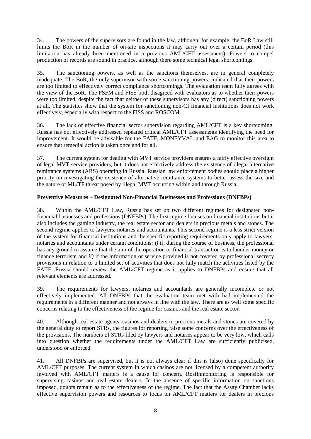34. The powers of the supervisors are found in the law, although, for example, the BoR Law still limits the BoR in the number of on-site inspections it may carry out over a certain period (this limitation has already been mentioned in a previous AML/CFT assessment). Powers to compel production of records are sound in practice, although there some technical legal shortcomings.

35. The sanctioning powers, as well as the sanctions themselves, are in general completely inadequate. The BoR, the only supervisor with some sanctioning powers, indicated that their powers are too limited to effectively correct compliance shortcomings. The evaluation team fully agrees with the view of the BoR. The FSFM and FISS both disagreed with evaluators as to whether their powers were too limited, despite the fact that neither of these supervisors has any (direct) sanctioning powers at all. The statistics show that the system for sanctioning non-CI financial institutions does not work effectively, especially with respect to the FISS and ROSCOM.

36. The lack of effective financial sector supervision regarding AML/CFT is a key shortcoming. Russia has not effectively addressed repeated critical AML/CFT assessments identifying the need for improvement. It would be advisable for the FATF, MONEYVAL and EAG to monitor this area to ensure that remedial action is taken once and for all.

37. The current system for dealing with MVT service providers ensures a fairly effective oversight of legal MVT service providers, but it does not effectively address the existence of illegal alternative remittance systems (ARS) operating in Russia. Russian law enforcement bodies should place a higher priority on investigating the existence of alternative remittance systems to better assess the size and the nature of ML/TF threat posed by illegal MVT occurring within and through Russia.

# **Preventive Measures – Designated Non-Financial Businesses and Professions (DNFBPs)**

38. Within the AML/CFT Law, Russia has set up two different regimes for designated nonfinancial businesses and professions (DNFBPs). The first regime focuses on financial institutions but it also includes the gaming industry, the real estate sector and dealers in precious metals and stones. The second regime applies to lawyers, notaries and accountants. This second regime is a less strict version of the system for financial institutions and the specific reporting requirements only apply to lawyers, notaries and accountants under certain conditions: *i)* if, during the course of business, the professional has any ground to assume that the aim of the operation or financial transaction is to launder money or finance terrorism and *ii)* if the information or service provided is not covered by professional secrecy provisions in relation to a limited set of activities that does not fully match the activities listed by the FATF. Russia should review the AML/CFT regime as it applies to DNFBPs and ensure that all relevant elements are addressed.

39. The requirements for lawyers, notaries and accountants are generally incomplete or not effectively implemented. All DNFBPs that the evaluation team met with had implemented the requirements in a different manner and not always in line with the law. There are as well some specific concerns relating to the effectiveness of the regime for casinos and the real estate sector.

40. Although real estate agents, casinos and dealers in precious metals and stones are covered by the general duty to report STRs, the figures for reporting raise some concerns over the effectiveness of the provisions. The numbers of STRs filed by lawyers and notaries appear to be very low, which calls into question whether the requirements under the AML/CFT Law are sufficiently publicised, understood or enforced.

41. All DNFBPs are supervised, but it is not always clear if this is (also) done specifically for AML/CFT purposes. The current system in which casinos are not licensed by a competent authority involved with AML/CFT matters is a cause for concern. Rosfinmonitoring is responsible for supervising casinos and real estate dealers. In the absence of specific information on sanctions imposed, doubts remain as to the effectiveness of the regime. The fact that the Assay Chamber lacks effective supervision powers and resources to focus on AML/CFT matters for dealers in precious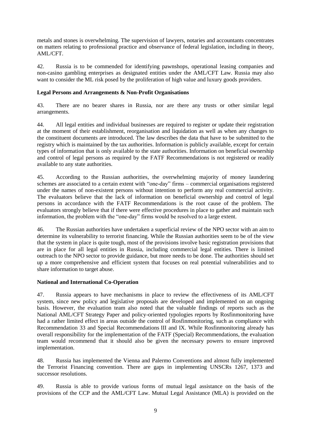metals and stones is overwhelming. The supervision of lawyers, notaries and accountants concentrates on matters relating to professional practice and observance of federal legislation, including in theory, AML/CFT.

42. Russia is to be commended for identifying pawnshops, operational leasing companies and non-casino gambling enterprises as designated entities under the AML/CFT Law. Russia may also want to consider the ML risk posed by the proliferation of high value and luxury goods providers.

## **Legal Persons and Arrangements & Non-Profit Organisations**

43. There are no bearer shares in Russia, nor are there any trusts or other similar legal arrangements.

44. All legal entities and individual businesses are required to register or update their registration at the moment of their establishment, reorganisation and liquidation as well as when any changes to the constituent documents are introduced. The law describes the data that have to be submitted to the registry which is maintained by the tax authorities. Information is publicly available, except for certain types of information that is only available to the state authorities. Information on beneficial ownership and control of legal persons as required by the FATF Recommendations is not registered or readily available to any state authorities.

45. According to the Russian authorities, the overwhelming majority of money laundering schemes are associated to a certain extent with "one-day" firms – commercial organisations registered under the names of non-existent persons without intention to perform any real commercial activity. The evaluators believe that the lack of information on beneficial ownership and control of legal persons in accordance with the FATF Recommendations is the root cause of the problem. The evaluators strongly believe that if there were effective procedures in place to gather and maintain such information, the problem with the "one-day" firms would be resolved to a large extent.

46. The Russian authorities have undertaken a superficial review of the NPO sector with an aim to determine its vulnerability to terrorist financing. While the Russian authorities seem to be of the view that the system in place is quite tough, most of the provisions involve basic registration provisions that are in place for all legal entities in Russia, including commercial legal entities. There is limited outreach to the NPO sector to provide guidance, but more needs to be done. The authorities should set up a more comprehensive and efficient system that focuses on real potential vulnerabilities and to share information to target abuse.

# **National and International Co-Operation**

47. Russia appears to have mechanisms in place to review the effectiveness of its AML/CFT system, since new policy and legislative proposals are developed and implemented on an ongoing basis. However, the evaluation team also noted that the valuable findings of reports such as the National AML/CFT Strategy Paper and policy-oriented typologies reports by Rosfinmonitoring have had a rather limited effect in areas outside the control of Rosfinmonitoring, such as compliance with Recommendation 33 and Special Recommendations III and IX. While Rosfinmonitoring already has overall responsibility for the implementation of the FATF (Special) Recommendations, the evaluation team would recommend that it should also be given the necessary powers to ensure improved implementation.

48. Russia has implemented the Vienna and Palermo Conventions and almost fully implemented the Terrorist Financing convention. There are gaps in implementing UNSCRs 1267, 1373 and successor resolutions.

49. Russia is able to provide various forms of mutual legal assistance on the basis of the provisions of the CCP and the AML/CFT Law. Mutual Legal Assistance (MLA) is provided on the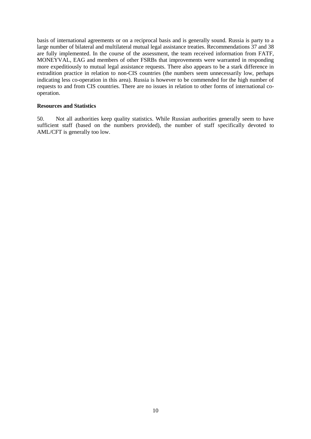basis of international agreements or on a reciprocal basis and is generally sound. Russia is party to a large number of bilateral and multilateral mutual legal assistance treaties. Recommendations 37 and 38 are fully implemented. In the course of the assessment, the team received information from FATF, MONEYVAL, EAG and members of other FSRBs that improvements were warranted in responding more expeditiously to mutual legal assistance requests. There also appears to be a stark difference in extradition practice in relation to non-CIS countries (the numbers seem unnecessarily low, perhaps indicating less co-operation in this area). Russia is however to be commended for the high number of requests to and from CIS countries. There are no issues in relation to other forms of international cooperation.

## **Resources and Statistics**

50. Not all authorities keep quality statistics. While Russian authorities generally seem to have sufficient staff (based on the numbers provided), the number of staff specifically devoted to AML/CFT is generally too low.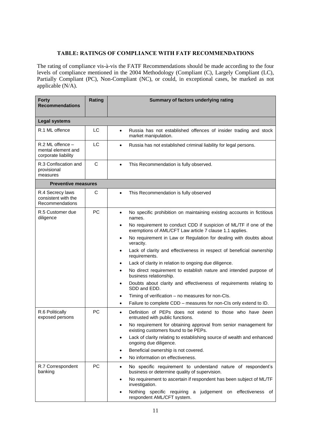## **TABLE: RATINGS OF COMPLIANCE WITH FATF RECOMMENDATIONS**

The rating of compliance vis-à-vis the FATF Recommendations should be made according to the four levels of compliance mentioned in the 2004 Methodology (Compliant (C), Largely Compliant (LC), Partially Compliant (PC), Non-Compliant (NC), or could, in exceptional cases, be marked as not applicable  $(N/A)$ .

| <b>Forty</b><br><b>Recommendations</b>                        | Rating          | Summary of factors underlying rating                                                                                                                                                                                                                                                                                                                                                                                                                                                                                                                                                                                                                                                                                                                                                                                                           |
|---------------------------------------------------------------|-----------------|------------------------------------------------------------------------------------------------------------------------------------------------------------------------------------------------------------------------------------------------------------------------------------------------------------------------------------------------------------------------------------------------------------------------------------------------------------------------------------------------------------------------------------------------------------------------------------------------------------------------------------------------------------------------------------------------------------------------------------------------------------------------------------------------------------------------------------------------|
| <b>Legal systems</b>                                          |                 |                                                                                                                                                                                                                                                                                                                                                                                                                                                                                                                                                                                                                                                                                                                                                                                                                                                |
| R.1 ML offence                                                | LC              | Russia has not established offences of insider trading and stock<br>$\bullet$<br>market manipulation.                                                                                                                                                                                                                                                                                                                                                                                                                                                                                                                                                                                                                                                                                                                                          |
| R.2 ML offence -<br>mental element and<br>corporate liability | LC              | Russia has not established criminal liability for legal persons.<br>$\bullet$                                                                                                                                                                                                                                                                                                                                                                                                                                                                                                                                                                                                                                                                                                                                                                  |
| R.3 Confiscation and<br>provisional<br>measures               | C               | This Recommendation is fully observed.<br>$\bullet$                                                                                                                                                                                                                                                                                                                                                                                                                                                                                                                                                                                                                                                                                                                                                                                            |
| <b>Preventive measures</b>                                    |                 |                                                                                                                                                                                                                                                                                                                                                                                                                                                                                                                                                                                                                                                                                                                                                                                                                                                |
| R.4 Secrecy laws<br>consistent with the<br>Recommendations    | С               | This Recommendation is fully observed<br>$\bullet$                                                                                                                                                                                                                                                                                                                                                                                                                                                                                                                                                                                                                                                                                                                                                                                             |
| R.5 Customer due<br>diligence                                 | PC              | No specific prohibition on maintaining existing accounts in fictitious<br>$\bullet$<br>names.<br>No requirement to conduct CDD if suspicion of ML/TF if one of the<br>$\bullet$<br>exemptions of AML/CFT Law article 7 clause 1.1 applies.<br>No requirement in Law or Regulation for dealing with doubts about<br>$\bullet$<br>veracity.<br>Lack of clarity and effectiveness in respect of beneficial ownership<br>$\bullet$<br>requirements.<br>Lack of clarity in relation to ongoing due diligence.<br>No direct requirement to establish nature and intended purpose of<br>business relationship.<br>Doubts about clarity and effectiveness of requirements relating to<br>٠<br>SDD and EDD.<br>Timing of verification - no measures for non-CIs.<br>٠<br>Failure to complete CDD - measures for non-CIs only extend to ID.<br>$\bullet$ |
| R.6 Politically<br>exposed persons<br>R.7 Correspondent       | PC<br><b>PC</b> | Definition of PEPs does not extend to those who have been<br>$\bullet$<br>entrusted with public functions.<br>No requirement for obtaining approval from senior management for<br>$\bullet$<br>existing customers found to be PEPs.<br>Lack of clarity relating to establishing source of wealth and enhanced<br>$\bullet$<br>ongoing due diligence.<br>Beneficial ownership is not covered.<br>$\bullet$<br>No information on effectiveness.<br>٠<br>No specific requirement to understand nature of respondent's<br>$\bullet$                                                                                                                                                                                                                                                                                                                |
| banking                                                       |                 | business or determine quality of supervision.<br>No requirement to ascertain if respondent has been subject of ML/TF<br>٠<br>investigation.<br>Nothing specific requiring a judgement on effectiveness of<br>respondent AML/CFT system.                                                                                                                                                                                                                                                                                                                                                                                                                                                                                                                                                                                                        |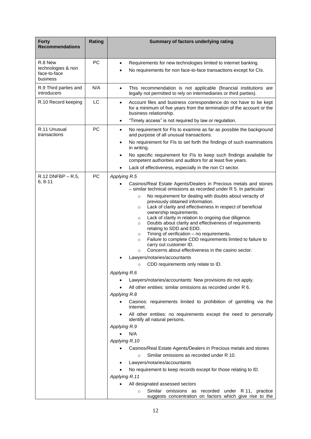| <b>Forty</b><br><b>Recommendations</b>                    | Rating    | Summary of factors underlying rating                                                                                                                                                                                                                                                                                                                                                                                                                                                                                                                                                                         |
|-----------------------------------------------------------|-----------|--------------------------------------------------------------------------------------------------------------------------------------------------------------------------------------------------------------------------------------------------------------------------------------------------------------------------------------------------------------------------------------------------------------------------------------------------------------------------------------------------------------------------------------------------------------------------------------------------------------|
| R.8 New<br>technologies & non<br>face-to-face<br>business | <b>PC</b> | Requirements for new technologies limited to internet banking.<br>$\bullet$<br>No requirements for non face-to-face transactions except for CIs.<br>$\bullet$                                                                                                                                                                                                                                                                                                                                                                                                                                                |
| R.9 Third parties and<br>introducers                      | N/A       | This recommendation is not applicable (financial institutions are<br>$\bullet$<br>legally not permitted to rely on intermediaries or third parties).                                                                                                                                                                                                                                                                                                                                                                                                                                                         |
| R.10 Record keeping                                       | LC        | Account files and business correspondence do not have to be kept<br>$\bullet$<br>for a minimum of five years from the termination of the account or the<br>business relationship.                                                                                                                                                                                                                                                                                                                                                                                                                            |
|                                                           |           | "Timely access" is not required by law or regulation.<br>$\bullet$                                                                                                                                                                                                                                                                                                                                                                                                                                                                                                                                           |
| R.11 Unusual<br>transactions                              | PC        | No requirement for FIs to examine as far as possible the background<br>$\bullet$<br>and purpose of all unusual transactions.                                                                                                                                                                                                                                                                                                                                                                                                                                                                                 |
|                                                           |           | No requirement for FIs to set forth the findings of such examinations<br>$\bullet$<br>in writing.                                                                                                                                                                                                                                                                                                                                                                                                                                                                                                            |
|                                                           |           | No specific requirement for FIs to keep such findings available for<br>$\bullet$<br>competent authorities and auditors for at least five years.                                                                                                                                                                                                                                                                                                                                                                                                                                                              |
|                                                           |           | Lack of effectiveness, especially in the non CI sector.<br>$\bullet$                                                                                                                                                                                                                                                                                                                                                                                                                                                                                                                                         |
| $R.12$ DNFBP – R.5,                                       | PC        | Applying R.5                                                                                                                                                                                                                                                                                                                                                                                                                                                                                                                                                                                                 |
| $6, 8-11$                                                 |           | Casinos/Real Estate Agents/Dealers in Precious metals and stones<br>$-$ similar technical omissions as recorded under R 5. In particular:                                                                                                                                                                                                                                                                                                                                                                                                                                                                    |
|                                                           |           | No requirement for dealing with doubts about veracity of<br>$\circ$<br>previously obtained information.<br>Lack of clarity and effectiveness in respect of beneficial<br>$\circ$<br>ownership requirements.<br>Lack of clarity in relation to ongoing due diligence.<br>$\circ$<br>Doubts about clarity and effectiveness of requirements<br>$\circ$<br>relating to SDD and EDD.<br>Timing of verification - no requirements.<br>$\circ$<br>Failure to complete CDD requirements limited to failure to<br>$\circ$<br>carry out customer ID.<br>Concerns about effectiveness in the casino sector.<br>$\circ$ |
|                                                           |           | Lawyers/notaries/accountants                                                                                                                                                                                                                                                                                                                                                                                                                                                                                                                                                                                 |
|                                                           |           | CDD requirements only relate to ID.<br>$\circ$                                                                                                                                                                                                                                                                                                                                                                                                                                                                                                                                                               |
|                                                           |           | Applying R.6                                                                                                                                                                                                                                                                                                                                                                                                                                                                                                                                                                                                 |
|                                                           |           | Lawyers/notaries/accountants: New provisions do not apply.<br>All other entities: similar omissions as recorded under R 6.                                                                                                                                                                                                                                                                                                                                                                                                                                                                                   |
|                                                           |           | Applying R.8                                                                                                                                                                                                                                                                                                                                                                                                                                                                                                                                                                                                 |
|                                                           |           | Casinos: requirements limited to prohibition of gambling via the<br>$\bullet$<br>internet.                                                                                                                                                                                                                                                                                                                                                                                                                                                                                                                   |
|                                                           |           | All other entities: no requirements except the need to personally<br>identify all natural persons.                                                                                                                                                                                                                                                                                                                                                                                                                                                                                                           |
|                                                           |           | Applying R.9                                                                                                                                                                                                                                                                                                                                                                                                                                                                                                                                                                                                 |
|                                                           |           | N/A                                                                                                                                                                                                                                                                                                                                                                                                                                                                                                                                                                                                          |
|                                                           |           | Applying R.10                                                                                                                                                                                                                                                                                                                                                                                                                                                                                                                                                                                                |
|                                                           |           | Casinos/Real Estate Agents/Dealers in Precious metals and stones<br>$\bullet$<br>Similar omissions as recorded under R 10.<br>$\circ$                                                                                                                                                                                                                                                                                                                                                                                                                                                                        |
|                                                           |           | Lawyers/notaries/accountants                                                                                                                                                                                                                                                                                                                                                                                                                                                                                                                                                                                 |
|                                                           |           | No requirement to keep records except for those relating to ID.                                                                                                                                                                                                                                                                                                                                                                                                                                                                                                                                              |
|                                                           |           | Applying R.11                                                                                                                                                                                                                                                                                                                                                                                                                                                                                                                                                                                                |
|                                                           |           | All designated assessed sectors                                                                                                                                                                                                                                                                                                                                                                                                                                                                                                                                                                              |
|                                                           |           | Similar omissions as recorded under R 11, practice<br>$\circ$<br>suggests concentration on factors which give rise to the                                                                                                                                                                                                                                                                                                                                                                                                                                                                                    |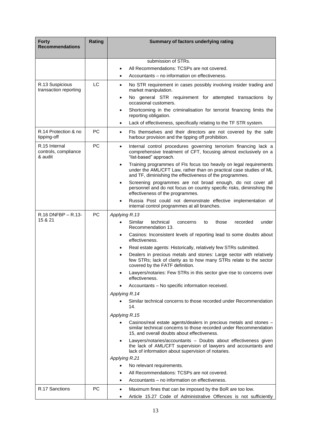| <b>Forty</b><br><b>Recommendations</b>           | Rating    | Summary of factors underlying rating                                                                                                                                                                              |
|--------------------------------------------------|-----------|-------------------------------------------------------------------------------------------------------------------------------------------------------------------------------------------------------------------|
|                                                  |           | submission of STRs.                                                                                                                                                                                               |
|                                                  |           | All Recommendations: TCSPs are not covered.                                                                                                                                                                       |
|                                                  |           | Accountants - no information on effectiveness.<br>$\bullet$                                                                                                                                                       |
| R.13 Suspicious<br>transaction reporting         | LC        | No STR requirement in cases possibly involving insider trading and<br>$\bullet$<br>market manipulation.                                                                                                           |
|                                                  |           | No general STR requirement for attempted transactions by<br>$\bullet$<br>occasional customers.                                                                                                                    |
|                                                  |           | Shortcoming in the criminalisation for terrorist financing limits the<br>٠<br>reporting obligation.                                                                                                               |
|                                                  |           | Lack of effectiveness, specifically relating to the TF STR system.<br>$\bullet$                                                                                                                                   |
| R.14 Protection & no<br>tipping-off              | <b>PC</b> | Fls themselves and their directors are not covered by the safe<br>$\bullet$<br>harbour provision and the tipping off prohibition.                                                                                 |
| R.15 Internal<br>controls, compliance<br>& audit | PC        | Internal control procedures governing terrorism financing lack a<br>$\bullet$<br>comprehensive treatment of CFT, focusing almost exclusively on a<br>"list-based" approach.                                       |
|                                                  |           | Training programmes of FIs focus too heavily on legal requirements<br>$\bullet$<br>under the AML/CFT Law, rather than on practical case studies of ML<br>and TF, diminishing the effectiveness of the programmes. |
|                                                  |           | Screening programmes are not broad enough, do not cover all<br>$\bullet$<br>personnel and do not focus on country specific risks, diminishing the<br>effectiveness of the programmes.                             |
|                                                  |           | Russia Post could not demonstrate effective implementation of<br>$\bullet$<br>internal control programmes at all branches.                                                                                        |
| R.16 DNFBP - R.13-                               | PC        | Applying R.13                                                                                                                                                                                                     |
| 15 & 21                                          |           | Similar<br>technical<br>under<br>those<br>recorded<br>concerns<br>to<br>Recommendation 13.                                                                                                                        |
|                                                  |           | Casinos: Inconsistent levels of reporting lead to some doubts about<br>$\bullet$<br>effectiveness.                                                                                                                |
|                                                  |           | Real estate agents: Historically, relatively few STRs submitted.<br>$\bullet$                                                                                                                                     |
|                                                  |           | Dealers in precious metals and stones: Large sector with relatively<br>$\bullet$<br>few STRs; lack of clarity as to how many STRs relate to the sector<br>covered by the FATF definition.                         |
|                                                  |           | Lawyers/notaries: Few STRs in this sector give rise to concerns over<br>٠<br>effectiveness.                                                                                                                       |
|                                                  |           | Accountants - No specific information received.                                                                                                                                                                   |
|                                                  |           | Applying R.14                                                                                                                                                                                                     |
|                                                  |           | Similar technical concerns to those recorded under Recommendation<br>14.                                                                                                                                          |
|                                                  |           | Applying R.15                                                                                                                                                                                                     |
|                                                  |           | Casinos/real estate agents/dealers in precious metals and stones –<br>$\bullet$<br>similar technical concerns to those recorded under Recommendation<br>15, and overall doubts about effectiveness.               |
|                                                  |           | Lawyers/notaries/accountants - Doubts about effectiveness given<br>the lack of AML/CFT supervision of lawyers and accountants and<br>lack of information about supervision of notaries.                           |
|                                                  |           | Applying R.21                                                                                                                                                                                                     |
|                                                  |           | No relevant requirements.<br>All Recommendations: TCSPs are not covered.                                                                                                                                          |
|                                                  |           | Accountants – no information on effectiveness.<br>٠                                                                                                                                                               |
| R.17 Sanctions                                   | <b>PC</b> |                                                                                                                                                                                                                   |
|                                                  |           | Maximum fines that can be imposed by the BoR are too low.<br>$\bullet$<br>Article 15.27 Code of Administrative Offences is not sufficiently                                                                       |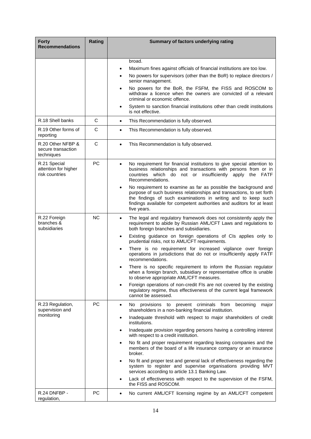| <b>Forty</b><br><b>Recommendations</b>                 | Rating       | Summary of factors underlying rating                                                                                                                                                                                                                                                                            |
|--------------------------------------------------------|--------------|-----------------------------------------------------------------------------------------------------------------------------------------------------------------------------------------------------------------------------------------------------------------------------------------------------------------|
|                                                        |              |                                                                                                                                                                                                                                                                                                                 |
|                                                        |              | broad.<br>Maximum fines against officials of financial institutions are too low.<br>٠                                                                                                                                                                                                                           |
|                                                        |              | No powers for supervisors (other than the BoR) to replace directors /<br>$\bullet$<br>senior management.                                                                                                                                                                                                        |
|                                                        |              | No powers for the BoR, the FSFM, the FISS and ROSCOM to<br>$\bullet$<br>withdraw a licence when the owners are convicted of a relevant<br>criminal or economic offence.                                                                                                                                         |
|                                                        |              | System to sanction financial institutions other than credit institutions<br>$\bullet$<br>is not effective.                                                                                                                                                                                                      |
| R.18 Shell banks                                       | $\mathsf{C}$ | This Recommendation is fully observed.<br>$\bullet$                                                                                                                                                                                                                                                             |
| R.19 Other forms of<br>reporting                       | $\mathsf{C}$ | This Recommendation is fully observed.<br>$\bullet$                                                                                                                                                                                                                                                             |
| R.20 Other NFBP &<br>secure transaction<br>techniques  | $\mathsf{C}$ | This Recommendation is fully observed.<br>$\bullet$                                                                                                                                                                                                                                                             |
| R.21 Special<br>attention for higher<br>risk countries | PC           | No requirement for financial institutions to give special attention to<br>$\bullet$<br>business relationships and transactions with persons from or in<br>countries which do not or insufficiently apply the FATF<br>Recommendations.                                                                           |
|                                                        |              | No requirement to examine as far as possible the background and<br>$\bullet$<br>purpose of such business relationships and transactions, to set forth<br>the findings of such examinations in writing and to keep such<br>findings available for competent authorities and auditors for at least<br>five years. |
| R.22 Foreign<br>branches &<br>subsidiaries             | <b>NC</b>    | The legal and regulatory framework does not consistently apply the<br>$\bullet$<br>requirement to abide by Russian AML/CFT Laws and regulations to<br>both foreign branches and subsidiaries.                                                                                                                   |
|                                                        |              | Existing guidance on foreign operations of CIs applies only to<br>$\bullet$<br>prudential risks, not to AML/CFT requirements.                                                                                                                                                                                   |
|                                                        |              | There is no requirement for increased vigilance over foreign<br>$\bullet$<br>operations in jurisdictions that do not or insufficiently apply FATF<br>recommendations.                                                                                                                                           |
|                                                        |              | There is no specific requirement to inform the Russian regulator<br>$\bullet$<br>when a foreign branch, subsidiary or representative office is unable<br>to observe appropriate AML/CFT measures.                                                                                                               |
|                                                        |              | Foreign operations of non-credit FIs are not covered by the existing<br>$\bullet$<br>regulatory regime, thus effectiveness of the current legal framework<br>cannot be assessed.                                                                                                                                |
| R.23 Regulation,<br>supervision and                    | PC           | provisions<br>No.<br>to<br>prevent criminals from<br>becoming<br>major<br>$\bullet$<br>shareholders in a non-banking financial institution.                                                                                                                                                                     |
| monitoring                                             |              | Inadequate threshold with respect to major shareholders of credit<br>$\bullet$<br>institutions.                                                                                                                                                                                                                 |
|                                                        |              | Inadequate provision regarding persons having a controlling interest<br>$\bullet$<br>with respect to a credit institution.                                                                                                                                                                                      |
|                                                        |              | No fit and proper requirement regarding leasing companies and the<br>$\bullet$<br>members of the board of a life insurance company or an insurance<br>broker.                                                                                                                                                   |
|                                                        |              | No fit and proper test and general lack of effectiveness regarding the<br>$\bullet$<br>system to register and supervise organisations providing MVT<br>services according to article 13.1 Banking Law.                                                                                                          |
|                                                        |              | Lack of effectiveness with respect to the supervision of the FSFM,<br>$\bullet$<br>the FISS and ROSCOM.                                                                                                                                                                                                         |
| R.24 DNFBP -<br>regulation,                            | PC           | No current AML/CFT licensing regime by an AML/CFT competent<br>$\bullet$                                                                                                                                                                                                                                        |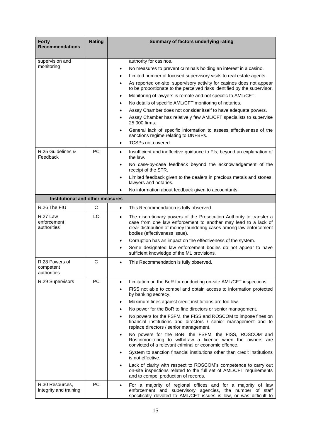| <b>Forty</b><br><b>Recommendations</b>     | Rating       | Summary of factors underlying rating                                                                                                                                                                                                                      |
|--------------------------------------------|--------------|-----------------------------------------------------------------------------------------------------------------------------------------------------------------------------------------------------------------------------------------------------------|
| supervision and                            |              | authority for casinos.                                                                                                                                                                                                                                    |
| monitoring                                 |              | No measures to prevent criminals holding an interest in a casino.<br>$\bullet$                                                                                                                                                                            |
|                                            |              | Limited number of focused supervisory visits to real estate agents.                                                                                                                                                                                       |
|                                            |              | As reported on-site, supervisory activity for casinos does not appear<br>$\bullet$<br>to be proportionate to the perceived risks identified by the supervisor.                                                                                            |
|                                            |              | Monitoring of lawyers is remote and not specific to AML/CFT.<br>$\bullet$                                                                                                                                                                                 |
|                                            |              | No details of specific AML/CFT monitoring of notaries.                                                                                                                                                                                                    |
|                                            |              | Assay Chamber does not consider itself to have adequate powers.                                                                                                                                                                                           |
|                                            |              | Assay Chamber has relatively few AML/CFT specialists to supervise<br>25 000 firms.                                                                                                                                                                        |
|                                            |              | General lack of specific information to assess effectiveness of the<br>$\bullet$<br>sanctions regime relating to DNFBPs.                                                                                                                                  |
|                                            |              | TCSPs not covered.                                                                                                                                                                                                                                        |
| R.25 Guidelines &<br>Feedback              | <b>PC</b>    | Insufficient and ineffective guidance to FIs, beyond an explanation of<br>$\bullet$<br>the law.                                                                                                                                                           |
|                                            |              | No case-by-case feedback beyond the acknowledgement of the<br>$\bullet$<br>receipt of the STR.                                                                                                                                                            |
|                                            |              | Limited feedback given to the dealers in precious metals and stones,<br>$\bullet$<br>lawyers and notaries.                                                                                                                                                |
|                                            |              | No information about feedback given to accountants.                                                                                                                                                                                                       |
| Institutional and other measures           |              |                                                                                                                                                                                                                                                           |
| R.26 The FIU                               | C            | This Recommendation is fully observed.<br>$\bullet$                                                                                                                                                                                                       |
| R.27 Law<br>enforcement<br>authorities     | LC.          | The discretionary powers of the Prosecution Authority to transfer a<br>$\bullet$<br>case from one law enforcement to another may lead to a lack of<br>clear distribution of money laundering cases among law enforcement<br>bodies (effectiveness issue). |
|                                            |              | Corruption has an impact on the effectiveness of the system.<br>$\bullet$                                                                                                                                                                                 |
|                                            |              | Some designated law enforcement bodies do not appear to have<br>$\bullet$<br>sufficient knowledge of the ML provisions.                                                                                                                                   |
| R.28 Powers of<br>competent<br>authorities | $\mathsf{C}$ | This Recommendation is fully observed.<br>$\bullet$                                                                                                                                                                                                       |
| R.29 Supervisors                           | <b>PC</b>    | Limitation on the BoR for conducting on-site AML/CFT inspections.<br>$\bullet$                                                                                                                                                                            |
|                                            |              | FISS not able to compel and obtain access to information protected<br>$\bullet$<br>by banking secrecy.                                                                                                                                                    |
|                                            |              | Maximum fines against credit institutions are too low.<br>$\bullet$                                                                                                                                                                                       |
|                                            |              | No power for the BoR to fine directors or senior management.<br>$\bullet$                                                                                                                                                                                 |
|                                            |              | No powers for the FSFM, the FISS and ROSCOM to impose fines on<br>$\bullet$<br>financial institutions and directors / senior management and to<br>replace directors / senior management.                                                                  |
|                                            |              | No powers for the BoR, the FSFM, the FISS, ROSCOM and<br>$\bullet$<br>Rosfinmonitoring to withdraw a licence when the owners are<br>convicted of a relevant criminal or economic offence.                                                                 |
|                                            |              | System to sanction financial institutions other than credit institutions<br>$\bullet$<br>is not effective.                                                                                                                                                |
|                                            |              | Lack of clarity with respect to ROSCOM's competence to carry out<br>$\bullet$<br>on-site inspections related to the full set of AML/CFT requirements<br>and to compel production of records.                                                              |
| R.30 Resources,<br>integrity and training  | <b>PC</b>    | For a majority of regional offices and for a majority of law<br>$\bullet$<br>enforcement and supervisory agencies, the number of staff<br>specifically devoted to AML/CFT issues is low, or was difficult to                                              |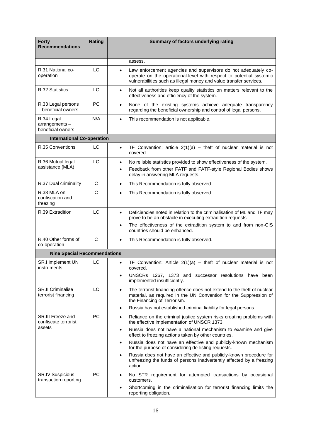| <b>Forty</b><br><b>Recommendations</b>              | Rating       | Summary of factors underlying rating                                                                                                                                                                                                                               |
|-----------------------------------------------------|--------------|--------------------------------------------------------------------------------------------------------------------------------------------------------------------------------------------------------------------------------------------------------------------|
|                                                     |              | assess.                                                                                                                                                                                                                                                            |
| R.31 National co-<br>operation                      | LC           | Law enforcement agencies and supervisors do not adequately co-<br>$\bullet$<br>operate on the operational-level with respect to potential systemic<br>vulnerabilities such as illegal money and value transfer services.                                           |
| R.32 Statistics                                     | LC           | Not all authorities keep quality statistics on matters relevant to the<br>$\bullet$<br>effectiveness and efficiency of the system.                                                                                                                                 |
| R.33 Legal persons<br>- beneficial owners           | РC           | None of the existing systems achieve adequate transparency<br>$\bullet$<br>regarding the beneficial ownership and control of legal persons.                                                                                                                        |
| R.34 Legal<br>arrangements-<br>beneficial owners    | N/A          | This recommendation is not applicable.<br>$\bullet$                                                                                                                                                                                                                |
| <b>International Co-operation</b>                   |              |                                                                                                                                                                                                                                                                    |
| R.35 Conventions                                    | LC           | TF Convention: article $2(1)(a)$ – theft of nuclear material is not<br>$\bullet$<br>covered.                                                                                                                                                                       |
| R.36 Mutual legal<br>assistance (MLA)               | LC           | No reliable statistics provided to show effectiveness of the system.<br>$\bullet$<br>Feedback from other FATF and FATF-style Regional Bodies shows<br>$\bullet$<br>delay in answering MLA requests.                                                                |
| R.37 Dual criminality                               | C            | This Recommendation is fully observed.<br>$\bullet$                                                                                                                                                                                                                |
| R.38 MLA on<br>confiscation and<br>freezing         | C            | This Recommendation is fully observed.<br>$\bullet$                                                                                                                                                                                                                |
| R.39 Extradition                                    | LC           | Deficiencies noted in relation to the criminalisation of ML and TF may<br>$\bullet$<br>prove to be an obstacle in executing extradition requests.<br>The effectiveness of the extradition system to and from non-CIS<br>$\bullet$<br>countries should be enhanced. |
| R.40 Other forms of<br>co-operation                 | $\mathsf{C}$ | This Recommendation is fully observed.<br>$\bullet$                                                                                                                                                                                                                |
| <b>Nine Special Recommendations</b>                 |              |                                                                                                                                                                                                                                                                    |
| SR.I Implement UN<br>instruments                    | LC           | TF Convention: Article $2(1)(a)$ – theft of nuclear material is not<br>$\bullet$<br>covered.                                                                                                                                                                       |
|                                                     |              | UNSCRs 1267, 1373 and successor resolutions have been<br>٠<br>implemented insufficiently.                                                                                                                                                                          |
| <b>SR.II Criminalise</b><br>terrorist financing     | LC           | The terrorist financing offence does not extend to the theft of nuclear<br>$\bullet$<br>material, as required in the UN Convention for the Suppression of<br>the Financing of Terrorism.                                                                           |
|                                                     |              | Russia has not established criminal liability for legal persons.<br>$\bullet$                                                                                                                                                                                      |
| SR.III Freeze and<br>confiscate terrorist<br>assets | PC           | Reliance on the criminal justice system risks creating problems with<br>$\bullet$<br>the effective implementation of UNSCR 1373.                                                                                                                                   |
|                                                     |              | Russia does not have a national mechanism to examine and give<br>$\bullet$<br>effect to freezing actions taken by other countries.                                                                                                                                 |
|                                                     |              | Russia does not have an effective and publicly-known mechanism<br>$\bullet$<br>for the purpose of considering de-listing requests.                                                                                                                                 |
|                                                     |              | Russia does not have an effective and publicly-known procedure for<br>$\bullet$<br>unfreezing the funds of persons inadvertently affected by a freezing<br>action.                                                                                                 |
| <b>SR.IV Suspicious</b><br>transaction reporting    | PC           | No STR requirement for attempted transactions by occasional<br>٠<br>customers.                                                                                                                                                                                     |
|                                                     |              | Shortcoming in the criminalisation for terrorist financing limits the<br>reporting obligation.                                                                                                                                                                     |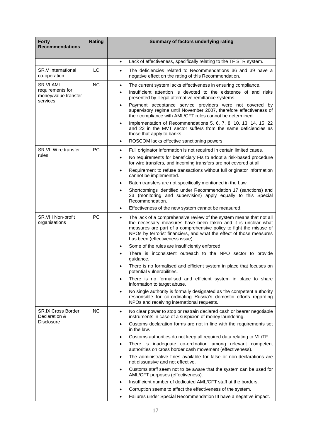| <b>Forty</b><br><b>Recommendations</b>                                   | Rating    | Summary of factors underlying rating                                                                                                                                                                                                                                                                                                                                                                                                                                                                                                                                                                             |
|--------------------------------------------------------------------------|-----------|------------------------------------------------------------------------------------------------------------------------------------------------------------------------------------------------------------------------------------------------------------------------------------------------------------------------------------------------------------------------------------------------------------------------------------------------------------------------------------------------------------------------------------------------------------------------------------------------------------------|
|                                                                          |           | Lack of effectiveness, specifically relating to the TF STR system.<br>$\bullet$                                                                                                                                                                                                                                                                                                                                                                                                                                                                                                                                  |
| <b>SR.V</b> International<br>co-operation                                | LC        | The deficiencies related to Recommendations 36 and 39 have a<br>$\bullet$<br>negative effect on the rating of this Recommendation.                                                                                                                                                                                                                                                                                                                                                                                                                                                                               |
| <b>SR VI AML</b><br>requirements for<br>money/value transfer<br>services | <b>NC</b> | The current system lacks effectiveness in ensuring compliance.<br>$\bullet$<br>Insufficient attention is devoted to the existence of and risks<br>$\bullet$<br>presented by illegal alternative remittance systems.<br>Payment acceptance service providers were not covered by<br>$\bullet$<br>supervisory regime until November 2007, therefore effectiveness of<br>their compliance with AML/CFT rules cannot be determined.<br>Implementation of Recommendations 5, 6, 7, 8, 10, 13, 14, 15, 22<br>$\bullet$<br>and 23 in the MVT sector suffers from the same deficiencies as<br>those that apply to banks. |
|                                                                          |           | ROSCOM lacks effective sanctioning powers.<br>$\bullet$                                                                                                                                                                                                                                                                                                                                                                                                                                                                                                                                                          |
| SR VII Wire transfer                                                     | <b>PC</b> | Full originator information is not required in certain limited cases.<br>$\bullet$                                                                                                                                                                                                                                                                                                                                                                                                                                                                                                                               |
| rules                                                                    |           | No requirements for beneficiary FIs to adopt a risk-based procedure<br>$\bullet$<br>for wire transfers, and incoming transfers are not covered at all.                                                                                                                                                                                                                                                                                                                                                                                                                                                           |
|                                                                          |           | Requirement to refuse transactions without full originator information<br>$\bullet$<br>cannot be implemented.                                                                                                                                                                                                                                                                                                                                                                                                                                                                                                    |
|                                                                          |           | Batch transfers are not specifically mentioned in the Law.<br>$\bullet$                                                                                                                                                                                                                                                                                                                                                                                                                                                                                                                                          |
|                                                                          |           | Shortcomings identified under Recommendation 17 (sanctions) and<br>$\bullet$<br>23 (monitoring and supervision) apply equally to this Special<br>Recommendation.                                                                                                                                                                                                                                                                                                                                                                                                                                                 |
|                                                                          |           | Effectiveness of the new system cannot be measured.<br>$\bullet$                                                                                                                                                                                                                                                                                                                                                                                                                                                                                                                                                 |
| SR.VIII Non-profit<br>organisations                                      | PC        | The lack of a comprehensive review of the system means that not all<br>$\bullet$<br>the necessary measures have been taken and it is unclear what<br>measures are part of a comprehensive policy to fight the misuse of<br>NPOs by terrorist financiers, and what the effect of those measures<br>has been (effectiveness issue).                                                                                                                                                                                                                                                                                |
|                                                                          |           | Some of the rules are insufficiently enforced.<br>٠                                                                                                                                                                                                                                                                                                                                                                                                                                                                                                                                                              |
|                                                                          |           | There is inconsistent outreach to the NPO sector to provide<br>$\bullet$<br>guidance.                                                                                                                                                                                                                                                                                                                                                                                                                                                                                                                            |
|                                                                          |           | There is no formalised and efficient system in place that focuses on<br>$\bullet$<br>potential vulnerabilities.                                                                                                                                                                                                                                                                                                                                                                                                                                                                                                  |
|                                                                          |           | There is no formalised and efficient system in place to share<br>$\bullet$<br>information to target abuse.                                                                                                                                                                                                                                                                                                                                                                                                                                                                                                       |
|                                                                          |           | No single authority is formally designated as the competent authority<br>$\bullet$<br>responsible for co-ordinating Russia's domestic efforts regarding<br>NPOs and receiving international requests.                                                                                                                                                                                                                                                                                                                                                                                                            |
| <b>SR.IX Cross Border</b><br>Declaration &<br><b>Disclosure</b>          | <b>NC</b> | No clear power to stop or restrain declared cash or bearer negotiable<br>$\bullet$<br>instruments in case of a suspicion of money laundering.                                                                                                                                                                                                                                                                                                                                                                                                                                                                    |
|                                                                          |           | Customs declaration forms are not in line with the requirements set<br>$\bullet$<br>in the law.                                                                                                                                                                                                                                                                                                                                                                                                                                                                                                                  |
|                                                                          |           | Customs authorities do not keep all required data relating to ML/TF.<br>٠                                                                                                                                                                                                                                                                                                                                                                                                                                                                                                                                        |
|                                                                          |           | There is inadequate co-ordination among relevant competent<br>$\bullet$<br>authorities on cross border cash movement (effectiveness).                                                                                                                                                                                                                                                                                                                                                                                                                                                                            |
|                                                                          |           | The administrative fines available for false or non-declarations are<br>$\bullet$<br>not dissuasive and not effective.                                                                                                                                                                                                                                                                                                                                                                                                                                                                                           |
|                                                                          |           | Customs staff seem not to be aware that the system can be used for<br>$\bullet$<br>AML/CFT purposes (effectiveness).                                                                                                                                                                                                                                                                                                                                                                                                                                                                                             |
|                                                                          |           | Insufficient number of dedicated AML/CFT staff at the borders.<br>$\bullet$                                                                                                                                                                                                                                                                                                                                                                                                                                                                                                                                      |
|                                                                          |           | Corruption seems to affect the effectiveness of the system.                                                                                                                                                                                                                                                                                                                                                                                                                                                                                                                                                      |
|                                                                          |           | Failures under Special Recommendation III have a negative impact.<br>$\bullet$                                                                                                                                                                                                                                                                                                                                                                                                                                                                                                                                   |